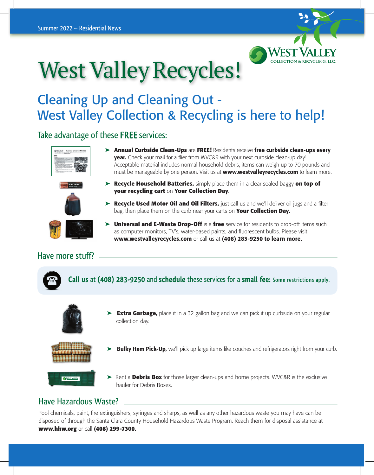

## West Valley Recycles!

## Cleaning Up and Cleaning Out - West Valley Collection & Recycling is here to help!

#### Take advantage of these **FREE**services:





- ➤ **Annual Curbside Clean-Ups** are **FREE!** Residents receive free curbside clean-ups every year. Check your mail for a flier from WVC&R with your next curbside clean-up day! Acceptable material includes normal household debris, items can weigh up to 70 pounds and must be manageable by one person. Visit us at **www.westvalleyrecycles.com** to learn more.
- ➤ **Recycle Household Batteries,** simply place them in a clear sealed baggy **on top of your recycling cart** on **Your Collection Day**.
- ➤ **Recycle Used Motor Oil and Oil Filters,** just call us and we'll deliver oil jugs and a filter bag, then place them on the curb near your carts on **Your Collection Day.**
- ➤ **Universal and E-Waste Drop-Off** is a **free** service for residents to drop-off items such as computer monitors, TV's, water-based paints, and fluorescent bulbs. Please visit www.westvalleyrecycles.com or call us at (408) 283-9250 to learn more.

#### Have more stuff?



#### Have Hazardous Waste?

Pool chemicals, paint, fire extinguishers, syringes and sharps, as well as any other hazardous waste you may have can be disposed of through the Santa Clara County Household Hazardous Waste Program. Reach them for disposal assistance at **www.hhw.org** or call **(408) 299-7300.**